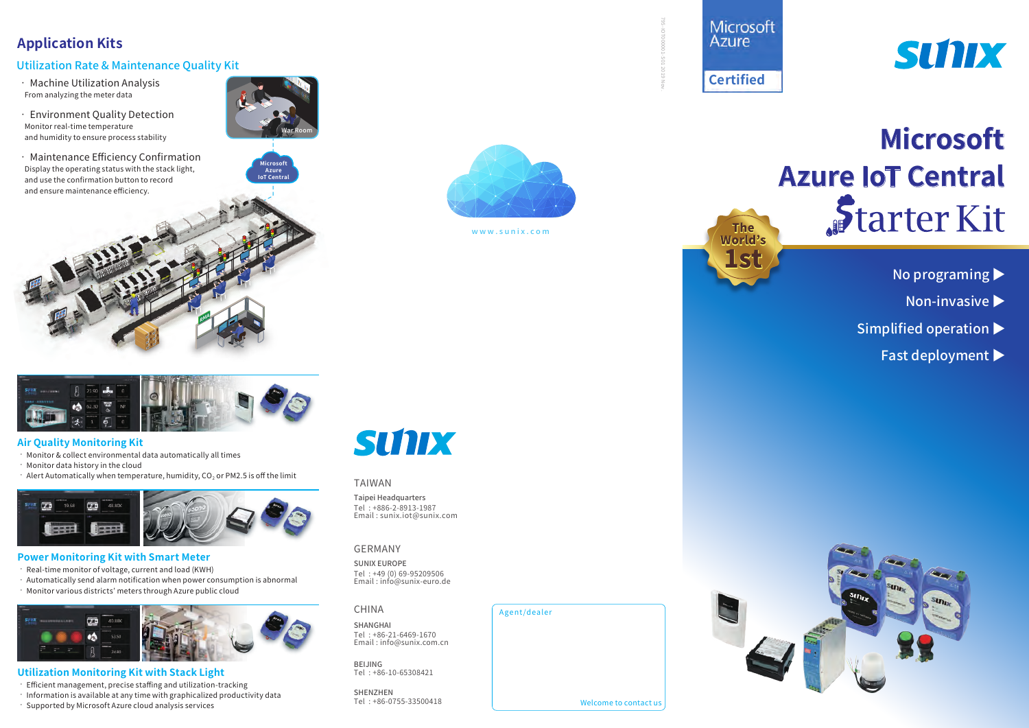# **Application Kits**

## Utilization Rate & Maintenance Quality Kit

• Machine Utilization Analysis From analyzing the meter data

• Environment Quality Detection Monitor real-time temperature and humidity to ensure process stability

• Maintenance Efficiency Confirmation Display the operating status with the stack light, and use the confirmation button to record and ensure maintenance efficiency.



**Microsoft Azure IoT Central**



www.sunix.com

Agent/dealer

**<sup>R</sup>M<sup>A</sup>**

## **Air Quality Monitoring Kit**

• Monitor & collect environmental data automatically all times

- Monitor data history in the cloud
- $\cdot$  Alert Automatically when temperature, humidity, CO<sub>2</sub> or PM2.5 is off the limit



### **Power Monitoring Kit with Smart Meter**

• Real-time monitor of voltage, current and load (KWH)

- Automatically send alarm notification when power consumption is abnormal • Monitor various districts' meters through Azure public cloud
- 

## **Utilization Monitoring Kit with Stack Light**

- Efficient management, precise staffing and utilization-tracking
- Information is available at any time with graphicalized productivity data
- Supported by Microsoft Azure cloud analysis services

# **SUNIX**

### TAIWAN

Taipei Headquarters Tel : +886-2-8913-1987 Email : sunix.iot@sunix.com

### GERMANY

CHINA

SUNIX EUROPE Tel : +49 (0) 69-95209506 Email : info@sunix-euro.de

SHANGHAI Tel : +86-21-6469-1670 Email : info@sunix.com.cn

BEIJING Tel : +86-10-65308421

SHENZHEN<br>Tel: +86-0755-33500418

Microsoft **Azure Certified**

795-IOT000001-S01 2019 Nov.

Welcome to contact us

The World's 's**1st** 

# SUNIX

# **Microsoft Azure IoT Central** Starter Kit

- No programing ▶
	- Non-invasive ▶
- Simplified operation ▶
	- Fast deployment ▶